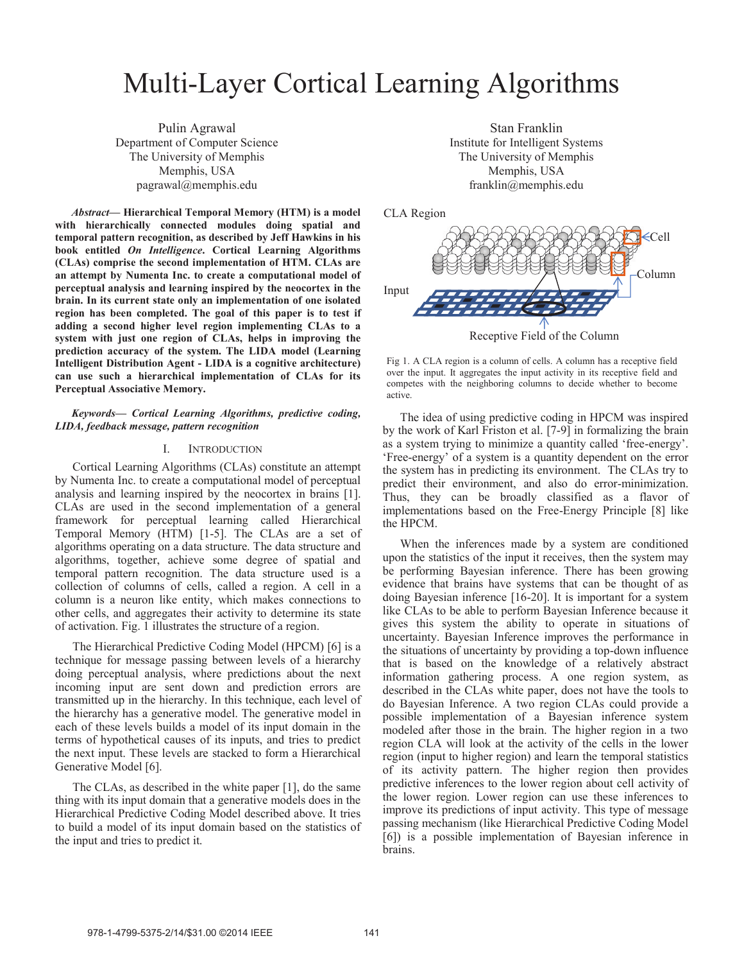# Multi-Layer Cortical Learning Algorithms

Pulin Agrawal Department of Computer Science The University of Memphis Memphis, USA pagrawal@memphis.edu

*Abstract***— Hierarchical Temporal Memory (HTM) is a model with hierarchically connected modules doing spatial and temporal pattern recognition, as described by Jeff Hawkins in his book entitled** *On Intelligence***. Cortical Learning Algorithms (CLAs) comprise the second implementation of HTM. CLAs are an attempt by Numenta Inc. to create a computational model of perceptual analysis and learning inspired by the neocortex in the brain. In its current state only an implementation of one isolated region has been completed. The goal of this paper is to test if adding a second higher level region implementing CLAs to a system with just one region of CLAs, helps in improving the prediction accuracy of the system. The LIDA model (Learning Intelligent Distribution Agent - LIDA is a cognitive architecture) can use such a hierarchical implementation of CLAs for its Perceptual Associative Memory.**

*Keywords— Cortical Learning Algorithms, predictive coding, LIDA, feedback message, pattern recognition* 

## I. INTRODUCTION

Cortical Learning Algorithms (CLAs) constitute an attempt by Numenta Inc. to create a computational model of perceptual analysis and learning inspired by the neocortex in brains [1]. CLAs are used in the second implementation of a general framework for perceptual learning called Hierarchical Temporal Memory (HTM) [1-5]. The CLAs are a set of algorithms operating on a data structure. The data structure and algorithms, together, achieve some degree of spatial and temporal pattern recognition. The data structure used is a collection of columns of cells, called a region. A cell in a column is a neuron like entity, which makes connections to other cells, and aggregates their activity to determine its state of activation. Fig. 1 illustrates the structure of a region.

The Hierarchical Predictive Coding Model (HPCM) [6] is a technique for message passing between levels of a hierarchy doing perceptual analysis, where predictions about the next incoming input are sent down and prediction errors are transmitted up in the hierarchy. In this technique, each level of the hierarchy has a generative model. The generative model in each of these levels builds a model of its input domain in the terms of hypothetical causes of its inputs, and tries to predict the next input. These levels are stacked to form a Hierarchical Generative Model [6].

The CLAs, as described in the white paper [1], do the same thing with its input domain that a generative models does in the Hierarchical Predictive Coding Model described above. It tries to build a model of its input domain based on the statistics of the input and tries to predict it.

Stan Franklin Institute for Intelligent Systems The University of Memphis Memphis, USA franklin@memphis.edu

CLA Region



Fig 1. A CLA region is a column of cells. A column has a receptive field over the input. It aggregates the input activity in its receptive field and competes with the neighboring columns to decide whether to become active.

The idea of using predictive coding in HPCM was inspired by the work of Karl Friston et al. [7-9] in formalizing the brain as a system trying to minimize a quantity called 'free-energy'. 'Free-energy' of a system is a quantity dependent on the error the system has in predicting its environment. The CLAs try to predict their environment, and also do error-minimization. Thus, they can be broadly classified as a flavor of implementations based on the Free-Energy Principle [8] like the HPCM.

When the inferences made by a system are conditioned upon the statistics of the input it receives, then the system may be performing Bayesian inference. There has been growing evidence that brains have systems that can be thought of as doing Bayesian inference [16-20]. It is important for a system like CLAs to be able to perform Bayesian Inference because it gives this system the ability to operate in situations of uncertainty. Bayesian Inference improves the performance in the situations of uncertainty by providing a top-down influence that is based on the knowledge of a relatively abstract information gathering process. A one region system, as described in the CLAs white paper, does not have the tools to do Bayesian Inference. A two region CLAs could provide a possible implementation of a Bayesian inference system modeled after those in the brain. The higher region in a two region CLA will look at the activity of the cells in the lower region (input to higher region) and learn the temporal statistics of its activity pattern. The higher region then provides predictive inferences to the lower region about cell activity of the lower region. Lower region can use these inferences to improve its predictions of input activity. This type of message passing mechanism (like Hierarchical Predictive Coding Model [6]) is a possible implementation of Bayesian inference in brains.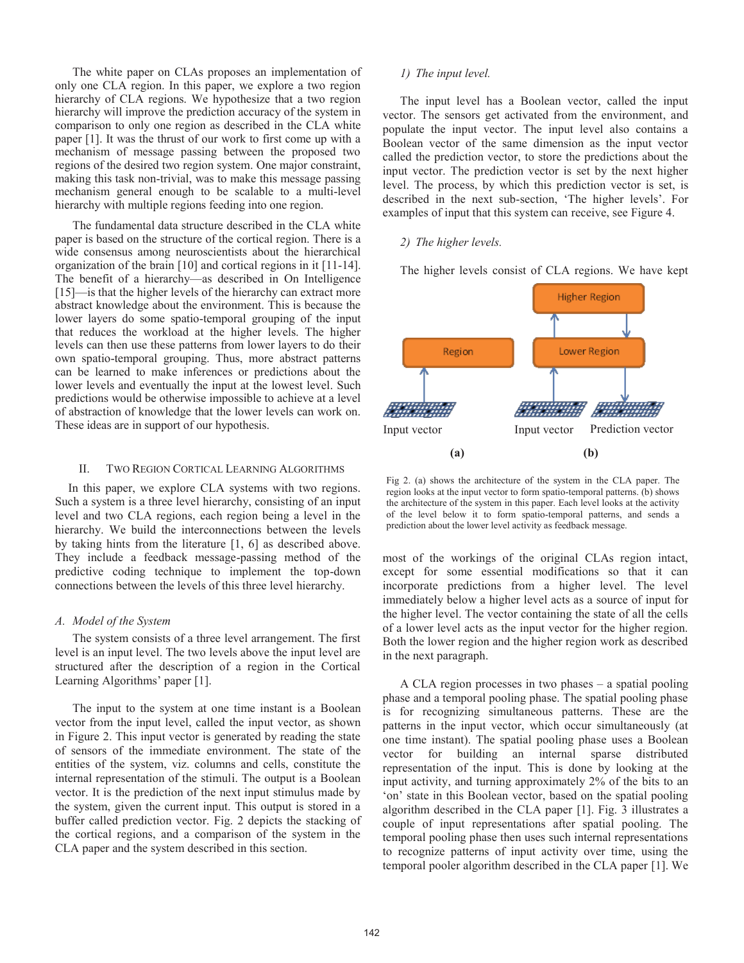The white paper on CLAs proposes an implementation of only one CLA region. In this paper, we explore a two region hierarchy of CLA regions. We hypothesize that a two region hierarchy will improve the prediction accuracy of the system in comparison to only one region as described in the CLA white paper [1]. It was the thrust of our work to first come up with a mechanism of message passing between the proposed two regions of the desired two region system. One major constraint, making this task non-trivial, was to make this message passing mechanism general enough to be scalable to a multi-level hierarchy with multiple regions feeding into one region.

The fundamental data structure described in the CLA white paper is based on the structure of the cortical region. There is a wide consensus among neuroscientists about the hierarchical organization of the brain [10] and cortical regions in it [11-14]. The benefit of a hierarchy—as described in On Intelligence [15]—is that the higher levels of the hierarchy can extract more abstract knowledge about the environment. This is because the lower layers do some spatio-temporal grouping of the input that reduces the workload at the higher levels. The higher levels can then use these patterns from lower layers to do their own spatio-temporal grouping. Thus, more abstract patterns can be learned to make inferences or predictions about the lower levels and eventually the input at the lowest level. Such predictions would be otherwise impossible to achieve at a level of abstraction of knowledge that the lower levels can work on. These ideas are in support of our hypothesis.

## II. TWO REGION CORTICAL LEARNING ALGORITHMS

In this paper, we explore CLA systems with two regions. Such a system is a three level hierarchy, consisting of an input level and two CLA regions, each region being a level in the hierarchy. We build the interconnections between the levels by taking hints from the literature [1, 6] as described above. They include a feedback message-passing method of the predictive coding technique to implement the top-down connections between the levels of this three level hierarchy.

# *A. Model of the System*

The system consists of a three level arrangement. The first level is an input level. The two levels above the input level are structured after the description of a region in the Cortical Learning Algorithms' paper [1].

The input to the system at one time instant is a Boolean vector from the input level, called the input vector, as shown in Figure 2. This input vector is generated by reading the state of sensors of the immediate environment. The state of the entities of the system, viz. columns and cells, constitute the internal representation of the stimuli. The output is a Boolean vector. It is the prediction of the next input stimulus made by the system, given the current input. This output is stored in a buffer called prediction vector. Fig. 2 depicts the stacking of the cortical regions, and a comparison of the system in the CLA paper and the system described in this section.

## *1) The input level.*

The input level has a Boolean vector, called the input vector. The sensors get activated from the environment, and populate the input vector. The input level also contains a Boolean vector of the same dimension as the input vector called the prediction vector, to store the predictions about the input vector. The prediction vector is set by the next higher level. The process, by which this prediction vector is set, is described in the next sub-section, 'The higher levels'. For examples of input that this system can receive, see Figure 4.

# *2) The higher levels.*

The higher levels consist of CLA regions. We have kept



Fig 2. (a) shows the architecture of the system in the CLA paper. The region looks at the input vector to form spatio-temporal patterns. (b) shows the architecture of the system in this paper. Each level looks at the activity of the level below it to form spatio-temporal patterns, and sends a prediction about the lower level activity as feedback message.

most of the workings of the original CLAs region intact, except for some essential modifications so that it can incorporate predictions from a higher level. The level immediately below a higher level acts as a source of input for the higher level. The vector containing the state of all the cells of a lower level acts as the input vector for the higher region. Both the lower region and the higher region work as described in the next paragraph.

A CLA region processes in two phases – a spatial pooling phase and a temporal pooling phase. The spatial pooling phase is for recognizing simultaneous patterns. These are the patterns in the input vector, which occur simultaneously (at one time instant). The spatial pooling phase uses a Boolean vector for building an internal sparse distributed representation of the input. This is done by looking at the input activity, and turning approximately 2% of the bits to an 'on' state in this Boolean vector, based on the spatial pooling algorithm described in the CLA paper [1]. Fig. 3 illustrates a couple of input representations after spatial pooling. The temporal pooling phase then uses such internal representations to recognize patterns of input activity over time, using the temporal pooler algorithm described in the CLA paper [1]. We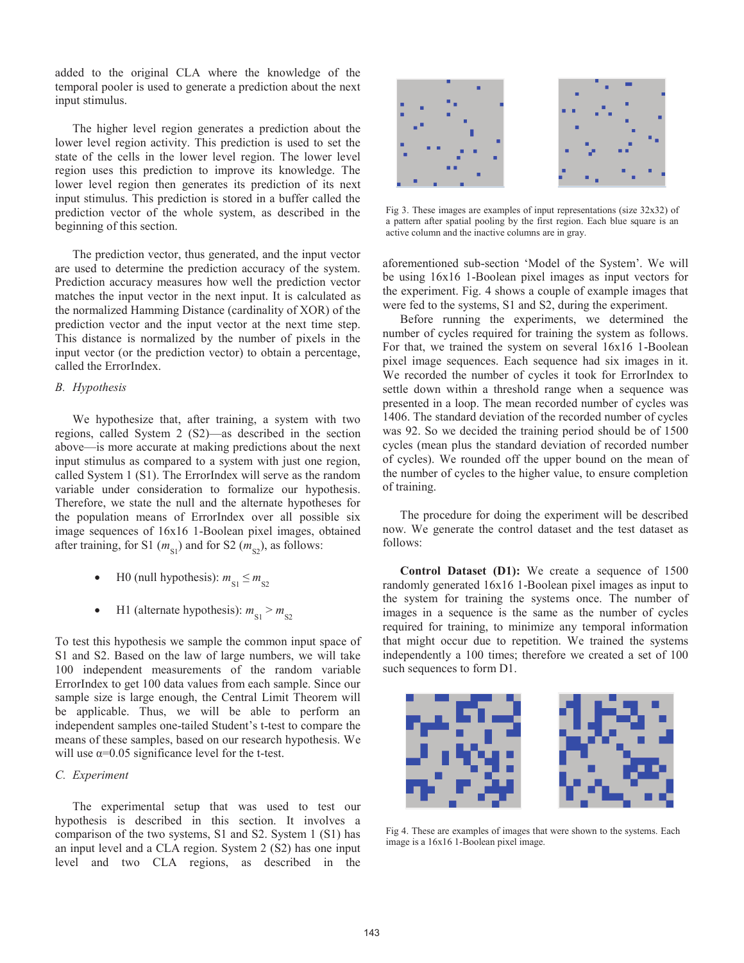added to the original CLA where the knowledge of the temporal pooler is used to generate a prediction about the next input stimulus.

The higher level region generates a prediction about the lower level region activity. This prediction is used to set the state of the cells in the lower level region. The lower level region uses this prediction to improve its knowledge. The lower level region then generates its prediction of its next input stimulus. This prediction is stored in a buffer called the prediction vector of the whole system, as described in the beginning of this section.

The prediction vector, thus generated, and the input vector are used to determine the prediction accuracy of the system. Prediction accuracy measures how well the prediction vector matches the input vector in the next input. It is calculated as the normalized Hamming Distance (cardinality of XOR) of the prediction vector and the input vector at the next time step. This distance is normalized by the number of pixels in the input vector (or the prediction vector) to obtain a percentage, called the ErrorIndex.

## *B. Hypothesis*

We hypothesize that, after training, a system with two regions, called System 2 (S2)—as described in the section above—is more accurate at making predictions about the next input stimulus as compared to a system with just one region, called System 1 (S1). The ErrorIndex will serve as the random variable under consideration to formalize our hypothesis. Therefore, we state the null and the alternate hypotheses for the population means of ErrorIndex over all possible six image sequences of 16x16 1-Boolean pixel images, obtained after training, for S1  $(m_{\rm SI})$  and for S2  $(m_{\rm SI})$ , as follows:

- H0 (null hypothesis):  $m_{\text{S1}} \le m_{\text{S2}}$
- H1 (alternate hypothesis):  $m_{S1} > m_{S2}$

To test this hypothesis we sample the common input space of S1 and S2. Based on the law of large numbers, we will take 100 independent measurements of the random variable ErrorIndex to get 100 data values from each sample. Since our sample size is large enough, the Central Limit Theorem will be applicable. Thus, we will be able to perform an independent samples one-tailed Student's t-test to compare the means of these samples, based on our research hypothesis. We will use  $\alpha$ =0.05 significance level for the t-test.

# *C. Experiment*

The experimental setup that was used to test our hypothesis is described in this section. It involves a comparison of the two systems, S1 and S2. System 1 (S1) has an input level and a CLA region. System 2 (S2) has one input level and two CLA regions, as described in the



Fig 3. These images are examples of input representations (size 32x32) of a pattern after spatial pooling by the first region. Each blue square is an active column and the inactive columns are in gray.

aforementioned sub-section 'Model of the System'. We will be using 16x16 1-Boolean pixel images as input vectors for the experiment. Fig. 4 shows a couple of example images that were fed to the systems, S1 and S2, during the experiment.

Before running the experiments, we determined the number of cycles required for training the system as follows. For that, we trained the system on several 16x16 1-Boolean pixel image sequences. Each sequence had six images in it. We recorded the number of cycles it took for ErrorIndex to settle down within a threshold range when a sequence was presented in a loop. The mean recorded number of cycles was 1406. The standard deviation of the recorded number of cycles was 92. So we decided the training period should be of 1500 cycles (mean plus the standard deviation of recorded number of cycles). We rounded off the upper bound on the mean of the number of cycles to the higher value, to ensure completion of training.

The procedure for doing the experiment will be described now. We generate the control dataset and the test dataset as follows:

**Control Dataset (D1):** We create a sequence of 1500 randomly generated 16x16 1-Boolean pixel images as input to the system for training the systems once. The number of images in a sequence is the same as the number of cycles required for training, to minimize any temporal information that might occur due to repetition. We trained the systems independently a 100 times; therefore we created a set of 100 such sequences to form D1.



Fig 4. These are examples of images that were shown to the systems. Each image is a 16x16 1-Boolean pixel image.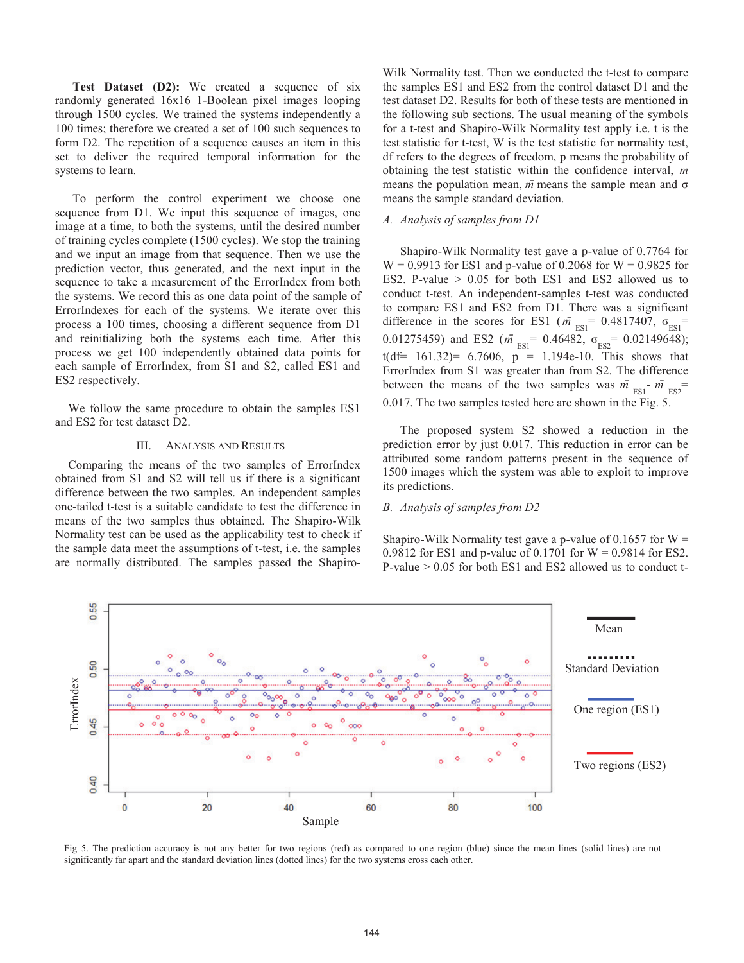**Test Dataset (D2):** We created a sequence of six randomly generated 16x16 1-Boolean pixel images looping through 1500 cycles. We trained the systems independently a 100 times; therefore we created a set of 100 such sequences to form D2. The repetition of a sequence causes an item in this set to deliver the required temporal information for the systems to learn.

To perform the control experiment we choose one sequence from D1. We input this sequence of images, one image at a time, to both the systems, until the desired number of training cycles complete (1500 cycles). We stop the training and we input an image from that sequence. Then we use the prediction vector, thus generated, and the next input in the sequence to take a measurement of the ErrorIndex from both the systems. We record this as one data point of the sample of ErrorIndexes for each of the systems. We iterate over this process a 100 times, choosing a different sequence from D1 and reinitializing both the systems each time. After this process we get 100 independently obtained data points for each sample of ErrorIndex, from S1 and S2, called ES1 and ES2 respectively.

We follow the same procedure to obtain the samples ES1 and ES2 for test dataset D2.

### III. ANALYSIS AND RESULTS

Comparing the means of the two samples of ErrorIndex obtained from S1 and S2 will tell us if there is a significant difference between the two samples. An independent samples one-tailed t-test is a suitable candidate to test the difference in means of the two samples thus obtained. The Shapiro-Wilk Normality test can be used as the applicability test to check if the sample data meet the assumptions of t-test, i.e. the samples are normally distributed. The samples passed the ShapiroWilk Normality test. Then we conducted the t-test to compare the samples ES1 and ES2 from the control dataset D1 and the test dataset D2. Results for both of these tests are mentioned in the following sub sections. The usual meaning of the symbols for a t-test and Shapiro-Wilk Normality test apply i.e. t is the test statistic for t-test, W is the test statistic for normality test, df refers to the degrees of freedom, p means the probability of obtaining the test statistic within the confidence interval, *m* means the population mean, *mˉ* means the sample mean and σ means the sample standard deviation.

## *A. Analysis of samples from D1*

Shapiro-Wilk Normality test gave a p-value of 0.7764 for  $W = 0.9913$  for ES1 and p-value of 0.2068 for  $W = 0.9825$  for ES2. P-value > 0.05 for both ES1 and ES2 allowed us to conduct t-test. An independent-samples t-test was conducted to compare ES1 and ES2 from D1. There was a significant difference in the scores for ES1 ( $\overline{m}_{ES1}$  = 0.4817407,  $\sigma_{ES1}$  = 0.01275459) and ES2 ( $m \overline{I} = 0.46482$ ,  $\sigma_{ES2} = 0.02149648$ ); t(df=  $161.32$ ) =  $6.7606$ , p = 1.194e-10. This shows that ErrorIndex from S1 was greater than from S2. The difference between the means of the two samples was  $\overline{m}_{ES1}$ <sup>-</sup>  $\overline{m}_{ES2}$ <sup>=</sup> 0.017. The two samples tested here are shown in the Fig. 5.

The proposed system S2 showed a reduction in the prediction error by just 0.017. This reduction in error can be attributed some random patterns present in the sequence of 1500 images which the system was able to exploit to improve its predictions.

## *B. Analysis of samples from D2*

Shapiro-Wilk Normality test gave a p-value of  $0.1657$  for W = 0.9812 for ES1 and p-value of 0.1701 for  $W = 0.9814$  for ES2. P-value  $> 0.05$  for both ES1 and ES2 allowed us to conduct t-



Fig 5. The prediction accuracy is not any better for two regions (red) as compared to one region (blue) since the mean lines (solid lines) are not significantly far apart and the standard deviation lines (dotted lines) for the two systems cross each other.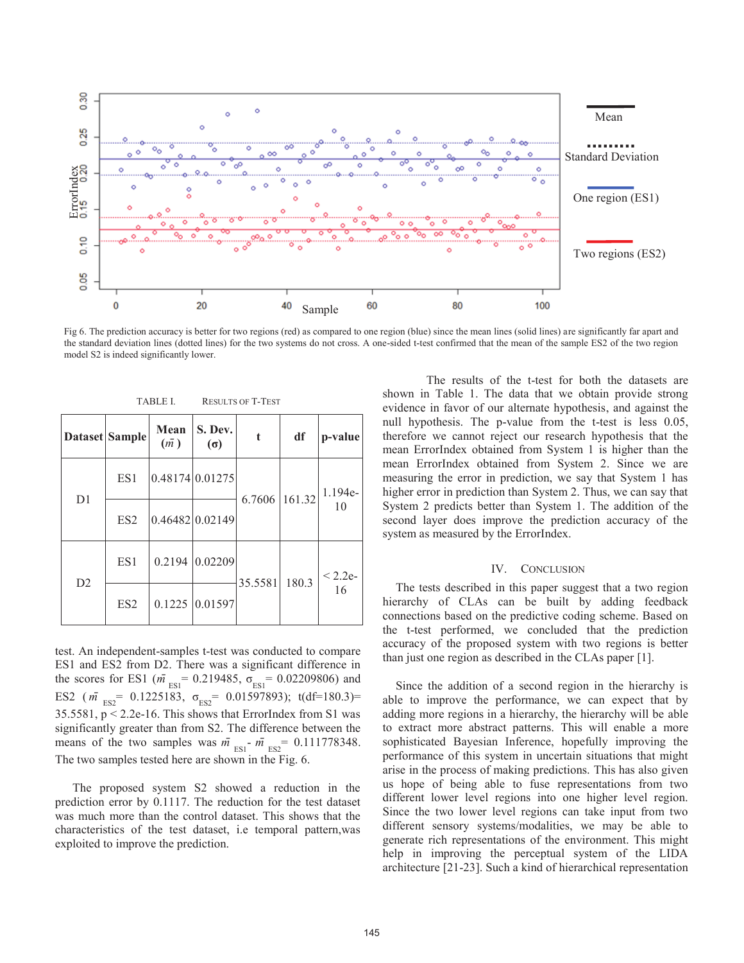

Fig 6. The prediction accuracy is better for two regions (red) as compared to one region (blue) since the mean lines (solid lines) are significantly far apart and the standard deviation lines (dotted lines) for the two systems do not cross. A one-sided t-test confirmed that the mean of the sample ES2 of the two region

| Dataset Sample |                 | Mean<br>(m) | S. Dev.<br>$(\sigma)$ | t             | df    | p-value         |
|----------------|-----------------|-------------|-----------------------|---------------|-------|-----------------|
| D <sub>1</sub> | ES1             |             | 0.48174 0.01275       | 6.7606 161.32 |       | 1.194e-<br>10   |
|                | ES <sub>2</sub> |             | 0.46482 0.02149       |               |       |                 |
| D <sub>2</sub> | ES1             |             | 0.2194 0.02209        | 35.5581       | 180.3 | $< 2.2e-$<br>16 |
|                | ES <sub>2</sub> |             | $0.1225$ 0.01597      |               |       |                 |

TABLE I. RESULTS OF T-TEST

test. An independent-samples t-test was conducted to compare ES1 and ES2 from D2. There was a significant difference in the scores for ES1 ( $m_{\text{ES1}}$  = 0.219485,  $\sigma_{\text{ES1}}$  = 0.02209806) and ES2  $(m \bar{r}_{ES2} = 0.1225183, \sigma_{ES2} = 0.01597893); t(df=180.3)=$ 35.5581, p < 2.2e-16. This shows that ErrorIndex from S1 was significantly greater than from S2. The difference between the means of the two samples was  $\overline{m}_{ES1}$  -  $\overline{m}_{ES2}$  = 0.111778348. The two samples tested here are shown in the Fig. 6.

The proposed system S2 showed a reduction in the prediction error by 0.1117. The reduction for the test dataset was much more than the control dataset. This shows that the characteristics of the test dataset, i.e temporal pattern,was exploited to improve the prediction.

The results of the t-test for both the datasets are shown in Table 1. The data that we obtain provide strong evidence in favor of our alternate hypothesis, and against the null hypothesis. The p-value from the t-test is less 0.05, therefore we cannot reject our research hypothesis that the mean ErrorIndex obtained from System 1 is higher than the mean ErrorIndex obtained from System 2. Since we are measuring the error in prediction, we say that System 1 has higher error in prediction than System 2. Thus, we can say that System 2 predicts better than System 1. The addition of the second layer does improve the prediction accuracy of the system as measured by the ErrorIndex.

#### IV. CONCLUSION

The tests described in this paper suggest that a two region hierarchy of CLAs can be built by adding feedback connections based on the predictive coding scheme. Based on the t-test performed, we concluded that the prediction accuracy of the proposed system with two regions is better than just one region as described in the CLAs paper [1].

Since the addition of a second region in the hierarchy is able to improve the performance, we can expect that by adding more regions in a hierarchy, the hierarchy will be able to extract more abstract patterns. This will enable a more sophisticated Bayesian Inference, hopefully improving the performance of this system in uncertain situations that might arise in the process of making predictions. This has also given us hope of being able to fuse representations from two different lower level regions into one higher level region. Since the two lower level regions can take input from two different sensory systems/modalities, we may be able to generate rich representations of the environment. This might help in improving the perceptual system of the LIDA architecture [21-23]. Such a kind of hierarchical representation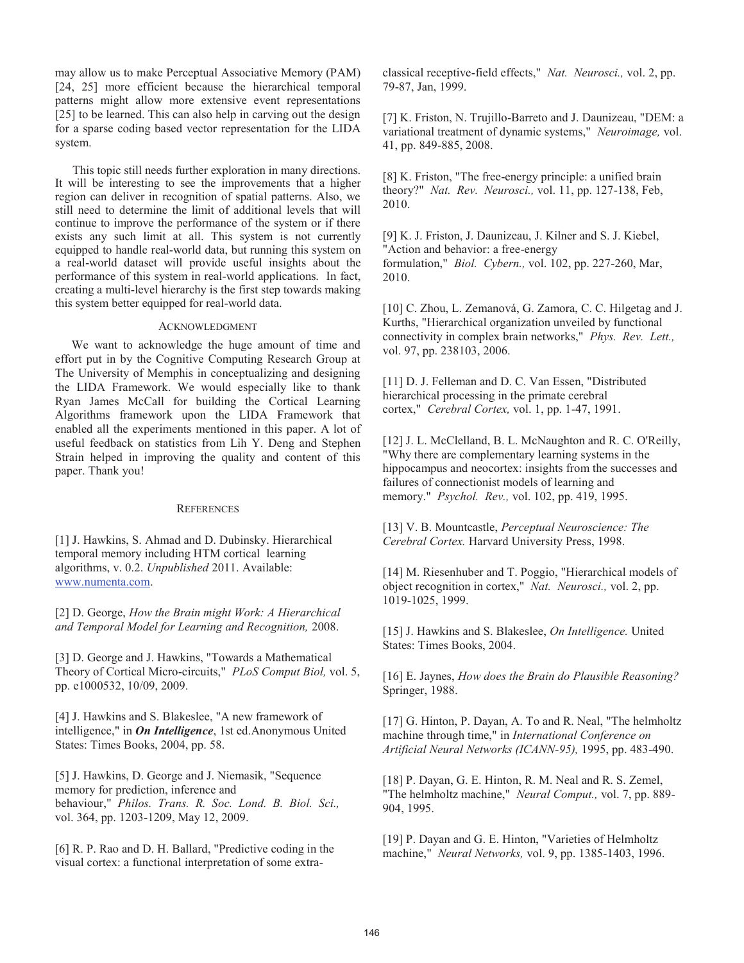may allow us to make Perceptual Associative Memory (PAM) [24, 25] more efficient because the hierarchical temporal patterns might allow more extensive event representations [25] to be learned. This can also help in carving out the design for a sparse coding based vector representation for the LIDA system.

This topic still needs further exploration in many directions. It will be interesting to see the improvements that a higher region can deliver in recognition of spatial patterns. Also, we still need to determine the limit of additional levels that will continue to improve the performance of the system or if there exists any such limit at all. This system is not currently equipped to handle real-world data, but running this system on a real-world dataset will provide useful insights about the performance of this system in real-world applications. In fact, creating a multi-level hierarchy is the first step towards making this system better equipped for real-world data.

## ACKNOWLEDGMENT

We want to acknowledge the huge amount of time and effort put in by the Cognitive Computing Research Group at The University of Memphis in conceptualizing and designing the LIDA Framework. We would especially like to thank Ryan James McCall for building the Cortical Learning Algorithms framework upon the LIDA Framework that enabled all the experiments mentioned in this paper. A lot of useful feedback on statistics from Lih Y. Deng and Stephen Strain helped in improving the quality and content of this paper. Thank you!

#### **REFERENCES**

[1] J. Hawkins, S. Ahmad and D. Dubinsky. Hierarchical temporal memory including HTM cortical learning algorithms, v. 0.2. *Unpublished* 2011. Available: www.numenta.com.

[2] D. George, *How the Brain might Work: A Hierarchical and Temporal Model for Learning and Recognition,* 2008.

[3] D. George and J. Hawkins, "Towards a Mathematical Theory of Cortical Micro-circuits," *PLoS Comput Biol,* vol. 5, pp. e1000532, 10/09, 2009.

[4] J. Hawkins and S. Blakeslee, "A new framework of intelligence," in *On Intelligence*, 1st ed.Anonymous United States: Times Books, 2004, pp. 58.

[5] J. Hawkins, D. George and J. Niemasik, "Sequence memory for prediction, inference and behaviour," *Philos. Trans. R. Soc. Lond. B. Biol. Sci.,*  vol. 364, pp. 1203-1209, May 12, 2009.

[6] R. P. Rao and D. H. Ballard, "Predictive coding in the visual cortex: a functional interpretation of some extraclassical receptive-field effects," *Nat. Neurosci.,* vol. 2, pp. 79-87, Jan, 1999.

[7] K. Friston, N. Trujillo-Barreto and J. Daunizeau, "DEM: a variational treatment of dynamic systems," *Neuroimage,* vol. 41, pp. 849-885, 2008.

[8] K. Friston, "The free-energy principle: a unified brain theory?" *Nat. Rev. Neurosci.,* vol. 11, pp. 127-138, Feb, 2010.

[9] K. J. Friston, J. Daunizeau, J. Kilner and S. J. Kiebel, "Action and behavior: a free-energy formulation," *Biol. Cybern.,* vol. 102, pp. 227-260, Mar, 2010.

[10] C. Zhou, L. Zemanová, G. Zamora, C. C. Hilgetag and J. Kurths, "Hierarchical organization unveiled by functional connectivity in complex brain networks," *Phys. Rev. Lett.,*  vol. 97, pp. 238103, 2006.

[11] D. J. Felleman and D. C. Van Essen, "Distributed" hierarchical processing in the primate cerebral cortex," *Cerebral Cortex,* vol. 1, pp. 1-47, 1991.

[12] J. L. McClelland, B. L. McNaughton and R. C. O'Reilly, "Why there are complementary learning systems in the hippocampus and neocortex: insights from the successes and failures of connectionist models of learning and memory." *Psychol. Rev.,* vol. 102, pp. 419, 1995.

[13] V. B. Mountcastle, *Perceptual Neuroscience: The Cerebral Cortex.* Harvard University Press, 1998.

[14] M. Riesenhuber and T. Poggio, "Hierarchical models of object recognition in cortex," *Nat. Neurosci.,* vol. 2, pp. 1019-1025, 1999.

[15] J. Hawkins and S. Blakeslee, *On Intelligence.* United States: Times Books, 2004.

[16] E. Jaynes, *How does the Brain do Plausible Reasoning?*  Springer, 1988.

[17] G. Hinton, P. Dayan, A. To and R. Neal, "The helmholtz machine through time," in *International Conference on Artificial Neural Networks (ICANN-95),* 1995, pp. 483-490.

[18] P. Dayan, G. E. Hinton, R. M. Neal and R. S. Zemel, "The helmholtz machine," *Neural Comput.,* vol. 7, pp. 889- 904, 1995.

[19] P. Dayan and G. E. Hinton, "Varieties of Helmholtz machine," *Neural Networks,* vol. 9, pp. 1385-1403, 1996.